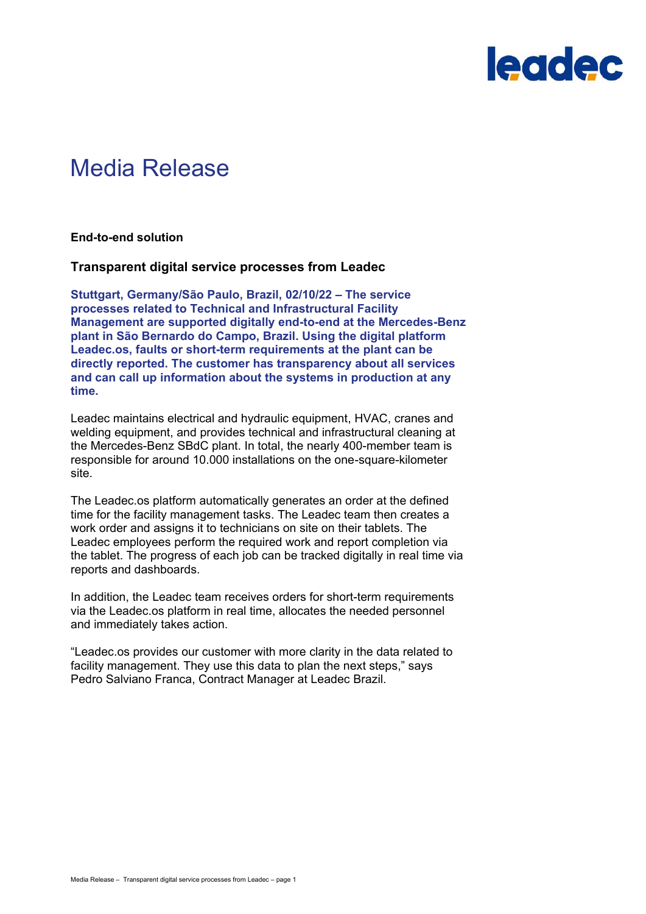

# Media Release

**End-to-end solution**

#### **Transparent digital service processes from Leadec**

**Stuttgart, Germany/São Paulo, Brazil, 02/10/22 – The service processes related to Technical and Infrastructural Facility Management are supported digitally end-to-end at the Mercedes-Benz plant in São Bernardo do Campo, Brazil. Using the digital platform Leadec.os, faults or short-term requirements at the plant can be directly reported. The customer has transparency about all services and can call up information about the systems in production at any time.**

Leadec maintains electrical and hydraulic equipment, HVAC, cranes and welding equipment, and provides technical and infrastructural cleaning at the Mercedes-Benz SBdC plant. In total, the nearly 400-member team is responsible for around 10.000 installations on the one-square-kilometer site.

The Leadec.os platform automatically generates an order at the defined time for the facility management tasks. The Leadec team then creates a work order and assigns it to technicians on site on their tablets. The Leadec employees perform the required work and report completion via the tablet. The progress of each job can be tracked digitally in real time via reports and dashboards.

In addition, the Leadec team receives orders for short-term requirements via the Leadec.os platform in real time, allocates the needed personnel and immediately takes action.

"Leadec.os provides our customer with more clarity in the data related to facility management. They use this data to plan the next steps," says Pedro Salviano Franca, Contract Manager at Leadec Brazil.